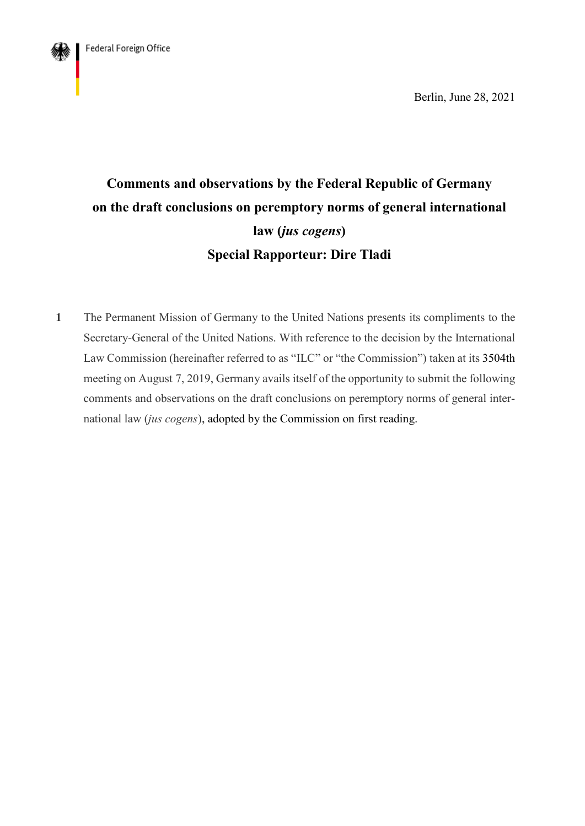

Berlin, June 28, 2021

# **Comments and observations by the Federal Republic of Germany on the draft conclusions on peremptory norms of general international law (***jus cogens***) Special Rapporteur: Dire Tladi**

**1** The Permanent Mission of Germany to the United Nations presents its compliments to the Secretary-General of the United Nations. With reference to the decision by the International Law Commission (hereinafter referred to as "ILC" or "the Commission") taken at its 3504th meeting on August 7, 2019, Germany avails itself of the opportunity to submit the following comments and observations on the draft conclusions on peremptory norms of general international law (*jus cogens*), adopted by the Commission on first reading.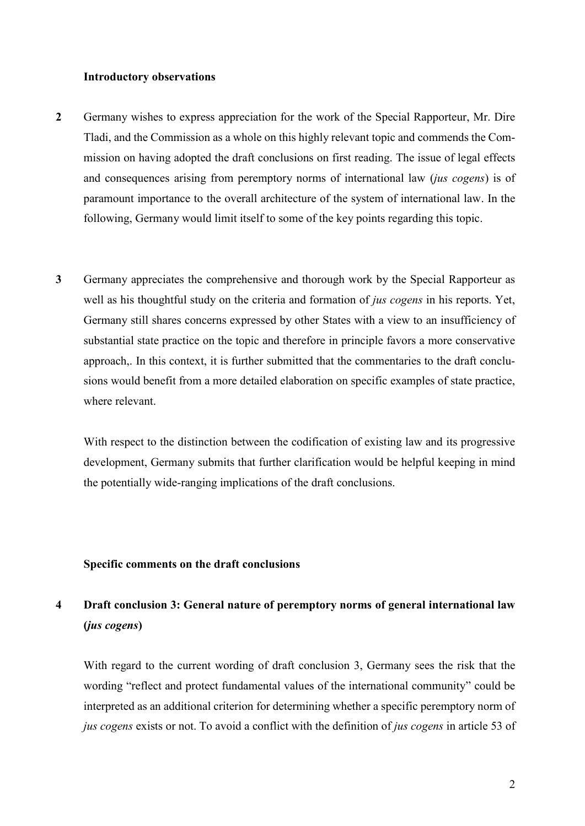#### **Introductory observations**

- **2** Germany wishes to express appreciation for the work of the Special Rapporteur, Mr. Dire Tladi, and the Commission as a whole on this highly relevant topic and commends the Commission on having adopted the draft conclusions on first reading. The issue of legal effects and consequences arising from peremptory norms of international law (*jus cogens*) is of paramount importance to the overall architecture of the system of international law. In the following, Germany would limit itself to some of the key points regarding this topic.
- **3** Germany appreciates the comprehensive and thorough work by the Special Rapporteur as well as his thoughtful study on the criteria and formation of *jus cogens* in his reports. Yet, Germany still shares concerns expressed by other States with a view to an insufficiency of substantial state practice on the topic and therefore in principle favors a more conservative approach,. In this context, it is further submitted that the commentaries to the draft conclusions would benefit from a more detailed elaboration on specific examples of state practice, where relevant.

With respect to the distinction between the codification of existing law and its progressive development, Germany submits that further clarification would be helpful keeping in mind the potentially wide-ranging implications of the draft conclusions.

#### **Specific comments on the draft conclusions**

## **4 Draft conclusion 3: General nature of peremptory norms of general international law (***jus cogens***)**

With regard to the current wording of draft conclusion 3, Germany sees the risk that the wording "reflect and protect fundamental values of the international community" could be interpreted as an additional criterion for determining whether a specific peremptory norm of *jus cogens* exists or not. To avoid a conflict with the definition of *jus cogens* in article 53 of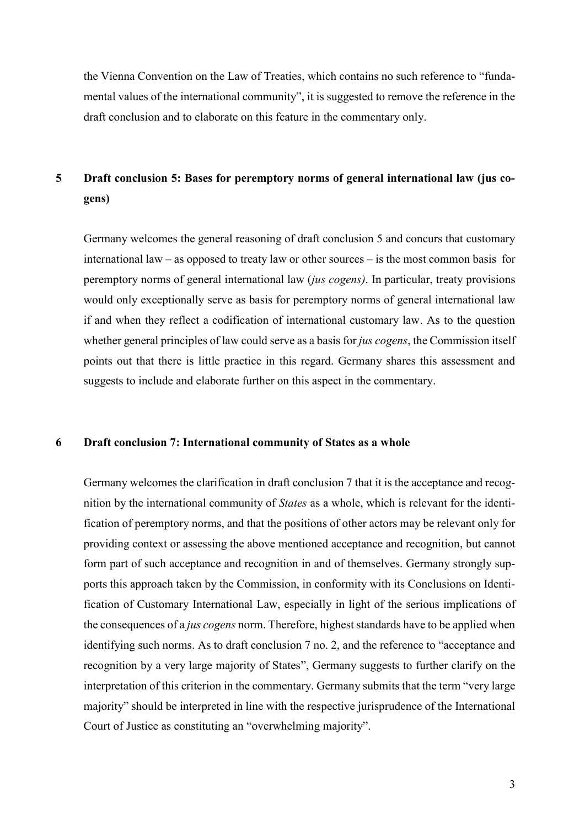the Vienna Convention on the Law of Treaties, which contains no such reference to "fundamental values of the international community", it is suggested to remove the reference in the draft conclusion and to elaborate on this feature in the commentary only.

# **5 Draft conclusion 5: Bases for peremptory norms of general international law (jus cogens)**

Germany welcomes the general reasoning of draft conclusion 5 and concurs that customary international law – as opposed to treaty law or other sources – is the most common basis for peremptory norms of general international law (*jus cogens)*. In particular, treaty provisions would only exceptionally serve as basis for peremptory norms of general international law if and when they reflect a codification of international customary law. As to the question whether general principles of law could serve as a basis for *jus cogens*, the Commission itself points out that there is little practice in this regard. Germany shares this assessment and suggests to include and elaborate further on this aspect in the commentary.

### **6 Draft conclusion 7: International community of States as a whole**

Germany welcomes the clarification in draft conclusion 7 that it is the acceptance and recognition by the international community of *States* as a whole, which is relevant for the identification of peremptory norms, and that the positions of other actors may be relevant only for providing context or assessing the above mentioned acceptance and recognition, but cannot form part of such acceptance and recognition in and of themselves. Germany strongly supports this approach taken by the Commission, in conformity with its Conclusions on Identification of Customary International Law, especially in light of the serious implications of the consequences of a *jus cogens* norm. Therefore, highest standards have to be applied when identifying such norms. As to draft conclusion 7 no. 2, and the reference to "acceptance and recognition by a very large majority of States", Germany suggests to further clarify on the interpretation of this criterion in the commentary. Germany submits that the term "very large majority" should be interpreted in line with the respective jurisprudence of the International Court of Justice as constituting an "overwhelming majority".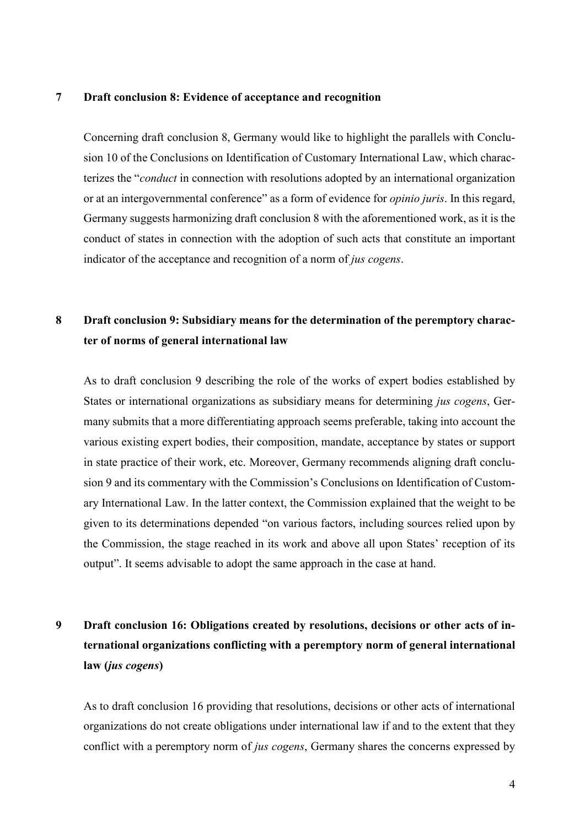#### **7 Draft conclusion 8: Evidence of acceptance and recognition**

Concerning draft conclusion 8, Germany would like to highlight the parallels with Conclusion 10 of the Conclusions on Identification of Customary International Law, which characterizes the "*conduct* in connection with resolutions adopted by an international organization or at an intergovernmental conference" as a form of evidence for *opinio juris*. In this regard, Germany suggests harmonizing draft conclusion 8 with the aforementioned work, as it is the conduct of states in connection with the adoption of such acts that constitute an important indicator of the acceptance and recognition of a norm of *jus cogens*.

### **8 Draft conclusion 9: Subsidiary means for the determination of the peremptory character of norms of general international law**

As to draft conclusion 9 describing the role of the works of expert bodies established by States or international organizations as subsidiary means for determining *jus cogens*, Germany submits that a more differentiating approach seems preferable, taking into account the various existing expert bodies, their composition, mandate, acceptance by states or support in state practice of their work, etc. Moreover, Germany recommends aligning draft conclusion 9 and its commentary with the Commission's Conclusions on Identification of Customary International Law. In the latter context, the Commission explained that the weight to be given to its determinations depended "on various factors, including sources relied upon by the Commission, the stage reached in its work and above all upon States' reception of its output". It seems advisable to adopt the same approach in the case at hand.

# **9 Draft conclusion 16: Obligations created by resolutions, decisions or other acts of international organizations conflicting with a peremptory norm of general international law (***jus cogens***)**

As to draft conclusion 16 providing that resolutions, decisions or other acts of international organizations do not create obligations under international law if and to the extent that they conflict with a peremptory norm of *jus cogens*, Germany shares the concerns expressed by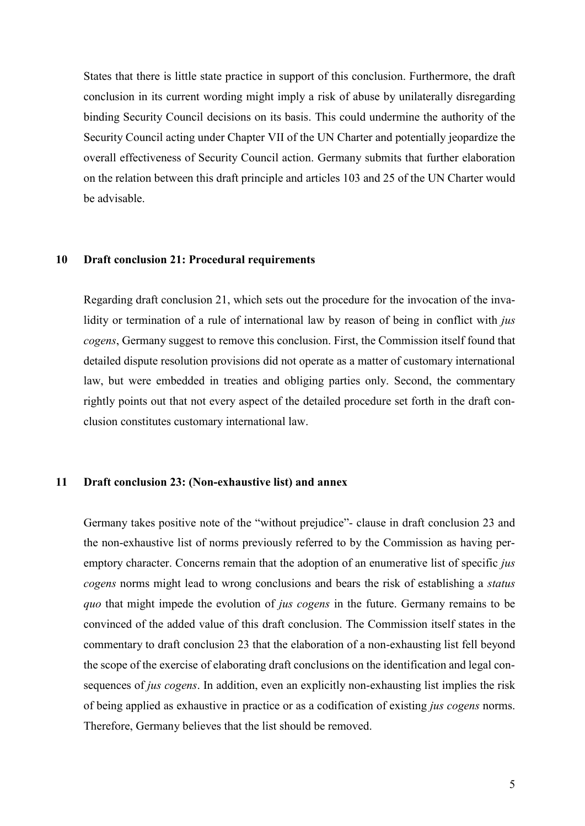States that there is little state practice in support of this conclusion. Furthermore, the draft conclusion in its current wording might imply a risk of abuse by unilaterally disregarding binding Security Council decisions on its basis. This could undermine the authority of the Security Council acting under Chapter VII of the UN Charter and potentially jeopardize the overall effectiveness of Security Council action. Germany submits that further elaboration on the relation between this draft principle and articles 103 and 25 of the UN Charter would be advisable.

### **10 Draft conclusion 21: Procedural requirements**

Regarding draft conclusion 21, which sets out the procedure for the invocation of the invalidity or termination of a rule of international law by reason of being in conflict with *jus cogens*, Germany suggest to remove this conclusion. First, the Commission itself found that detailed dispute resolution provisions did not operate as a matter of customary international law, but were embedded in treaties and obliging parties only. Second, the commentary rightly points out that not every aspect of the detailed procedure set forth in the draft conclusion constitutes customary international law.

### **11 Draft conclusion 23: (Non-exhaustive list) and annex**

Germany takes positive note of the "without prejudice"- clause in draft conclusion 23 and the non-exhaustive list of norms previously referred to by the Commission as having peremptory character. Concerns remain that the adoption of an enumerative list of specific *jus cogens* norms might lead to wrong conclusions and bears the risk of establishing a *status quo* that might impede the evolution of *jus cogens* in the future. Germany remains to be convinced of the added value of this draft conclusion. The Commission itself states in the commentary to draft conclusion 23 that the elaboration of a non-exhausting list fell beyond the scope of the exercise of elaborating draft conclusions on the identification and legal consequences of *jus cogens*. In addition, even an explicitly non-exhausting list implies the risk of being applied as exhaustive in practice or as a codification of existing *jus cogens* norms. Therefore, Germany believes that the list should be removed.